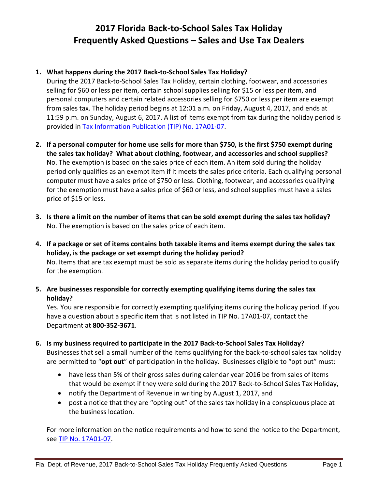# **2017 Florida Back-to-School Sales Tax Holiday Frequently Asked Questions – Sales and Use Tax Dealers**

## **1. What happens during the 2017 Back-to-School Sales Tax Holiday?**

During the 2017 Back-to-School Sales Tax Holiday, certain clothing, footwear, and accessories selling for \$60 or less per item, certain school supplies selling for \$15 or less per item, and personal computers and certain related accessories selling for \$750 or less per item are exempt from sales tax. The holiday period begins at 12:01 a.m. on Friday, August 4, 2017, and ends at 11:59 p.m. on Sunday, August 6, 2017. A list of items exempt from tax during the holiday period is provided in [Tax Information Publication \(TIP\) No. 17A01-07.](https://revenuelaw.floridarevenue.com/LawLibraryDocuments/2017/06/TIP-121182_TIP%2017A01-07%20BTS%20RLL.pdf)

- **2. If a personal computer for home use sells for more than \$750, is the first \$750 exempt during the sales tax holiday? What about clothing, footwear, and accessories and school supplies?** No. The exemption is based on the sales price of each item. An item sold during the holiday period only qualifies as an exempt item if it meets the sales price criteria. Each qualifying personal computer must have a sales price of \$750 or less. Clothing, footwear, and accessories qualifying for the exemption must have a sales price of \$60 or less, and school supplies must have a sales price of \$15 or less.
- **3. Is there a limit on the number of items that can be sold exempt during the sales tax holiday?** No. The exemption is based on the sales price of each item.
- **4. If a package or set of items contains both taxable items and items exempt during the sales tax holiday, is the package or set exempt during the holiday period?** No. Items that are tax exempt must be sold as separate items during the holiday period to qualify for the exemption.
- **5. Are businesses responsible for correctly exempting qualifying items during the sales tax holiday?**

Yes. You are responsible for correctly exempting qualifying items during the holiday period. If you have a question about a specific item that is not listed in TIP No. 17A01-07, contact the Department at **800-352-3671**.

- **6. Is my business required to participate in the 2017 Back-to-School Sales Tax Holiday?** Businesses that sell a small number of the items qualifying for the back-to-school sales tax holiday are permitted to "**opt out**" of participation in the holiday. Businesses eligible to "opt out" must:
	- have less than 5% of their gross sales during calendar year 2016 be from sales of items that would be exempt if they were sold during the 2017 Back-to-School Sales Tax Holiday,
	- notify the Department of Revenue in writing by August 1, 2017, and
	- post a notice that they are "opting out" of the sales tax holiday in a conspicuous place at the business location.

For more information on the notice requirements and how to send the notice to the Department, see [TIP No. 17A01-07.](https://revenuelaw.floridarevenue.com/LawLibraryDocuments/2017/06/TIP-121182_TIP%2017A01-07%20BTS%20RLL.pdf)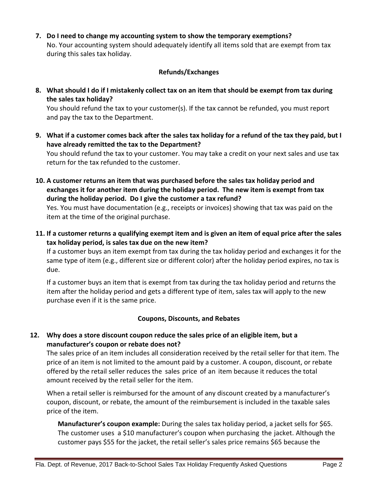**7. Do I need to change my accounting system to show the temporary exemptions?**  No. Your accounting system should adequately identify all items sold that are exempt from tax during this sales tax holiday.

#### **Refunds/Exchanges**

**8. What should I do if I mistakenly collect tax on an item that should be exempt from tax during the sales tax holiday?**

You should refund the tax to your customer(s). If the tax cannot be refunded, you must report and pay the tax to the Department.

- **9. What if a customer comes back after the sales tax holiday for a refund of the tax they paid, but I have already remitted the tax to the Department?** You should refund the tax to your customer. You may take a credit on your next sales and use tax return for the tax refunded to the customer.
- **10. A customer returns an item that was purchased before the sales tax holiday period and exchanges it for another item during the holiday period. The new item is exempt from tax during the holiday period. Do I give the customer a tax refund?**

Yes. You must have documentation (e.g., receipts or invoices) showing that tax was paid on the item at the time of the original purchase.

**11. If a customer returns a qualifying exempt item and is given an item of equal price after the sales tax holiday period, is sales tax due on the new item?**

If a customer buys an item exempt from tax during the tax holiday period and exchanges it for the same type of item (e.g., different size or different color) after the holiday period expires, no tax is due.

If a customer buys an item that is exempt from tax during the tax holiday period and returns the item after the holiday period and gets a different type of item, sales tax will apply to the new purchase even if it is the same price.

#### **Coupons, Discounts, and Rebates**

### **12. Why does a store discount coupon reduce the sales price of an eligible item, but a manufacturer's coupon or rebate does not?**

The sales price of an item includes all consideration received by the retail seller for that item. The price of an item is not limited to the amount paid by a customer. A coupon, discount, or rebate offered by the retail seller reduces the sales price of an item because it reduces the total amount received by the retail seller for the item.

When a retail seller is reimbursed for the amount of any discount created by a manufacturer's coupon, discount, or rebate, the amount of the reimbursement is included in the taxable sales price of the item.

**Manufacturer's coupon example:** During the sales tax holiday period, a jacket sells for \$65. The customer uses a \$10 manufacturer's coupon when purchasing the jacket. Although the customer pays \$55 for the jacket, the retail seller's sales price remains \$65 because the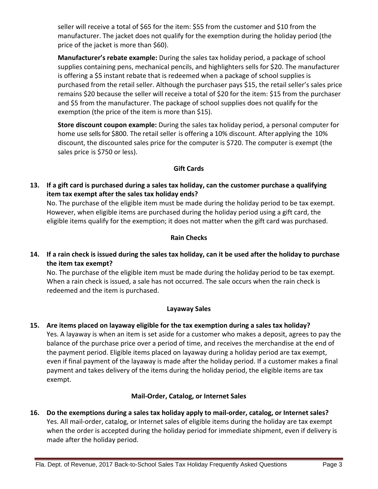seller will receive a total of \$65 for the item: \$55 from the customer and \$10 from the manufacturer. The jacket does not qualify for the exemption during the holiday period (the price of the jacket is more than \$60).

**Manufacturer's rebate example:** During the sales tax holiday period, a package of school supplies containing pens, mechanical pencils, and highlighters sells for \$20. The manufacturer is offering a \$5 instant rebate that is redeemed when a package of school supplies is purchased from the retail seller. Although the purchaser pays \$15, the retail seller's sales price remains \$20 because the seller will receive a total of \$20 for the item: \$15 from the purchaser and \$5 from the manufacturer. The package of school supplies does not qualify for the exemption (the price of the item is more than \$15).

**Store discount coupon example:** During the sales tax holiday period, a personal computer for home use sells for \$800. The retail seller is offering a 10% discount. After applying the 10% discount, the discounted sales price for the computer is \$720. The computer is exempt (the sales price is \$750 or less).

# **Gift Cards**

**13. If a gift card is purchased during a sales tax holiday, can the customer purchase a qualifying item tax exempt after the sales tax holiday ends?**

No. The purchase of the eligible item must be made during the holiday period to be tax exempt. However, when eligible items are purchased during the holiday period using a gift card, the eligible items qualify for the exemption; it does not matter when the gift card was purchased.

### **Rain Checks**

**14. If a rain check is issued during the sales tax holiday, can it be used after the holiday to purchase the item tax exempt?**

No. The purchase of the eligible item must be made during the holiday period to be tax exempt. When a rain check is issued, a sale has not occurred. The sale occurs when the rain check is redeemed and the item is purchased.

### **Layaway Sales**

**15. Are items placed on layaway eligible for the tax exemption during a sales tax holiday?** Yes. A layaway is when an item is set aside for a customer who makes a deposit, agrees to pay the balance of the purchase price over a period of time, and receives the merchandise at the end of the payment period. Eligible items placed on layaway during a holiday period are tax exempt, even if final payment of the layaway is made after the holiday period. If a customer makes a final payment and takes delivery of the items during the holiday period, the eligible items are tax exempt.

# **Mail-Order, Catalog, or Internet Sales**

**16. Do the exemptions during a sales tax holiday apply to mail-order, catalog, or Internet sales?**  Yes. All mail-order, catalog, or Internet sales of eligible items during the holiday are tax exempt when the order is accepted during the holiday period for immediate shipment, even if delivery is made after the holiday period.